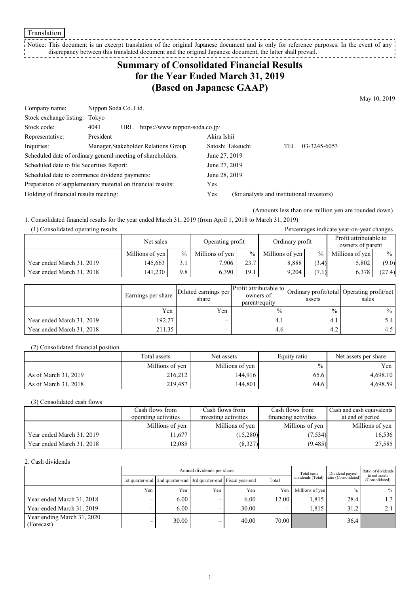Translation

Notice: This document is an excerpt translation of the original Japanese document and is only for reference purposes. In the event of any discrepancy between this translated document and the original Japanese document, the latter shall prevail.

# **Summary of Consolidated Financial Results for the Year Ended March 31, 2019 (Based on Japanese GAAP)**

May 10, 2019

| Company name:                             | Nippon Soda Co., Ltd.                                       |                  |                                            |
|-------------------------------------------|-------------------------------------------------------------|------------------|--------------------------------------------|
| Stock exchange listing: Tokyo             |                                                             |                  |                                            |
| Stock code:                               | https://www.nippon-soda.co.jp/<br>4041<br>URL               |                  |                                            |
| Representative:                           | President                                                   | Akira Ishii      |                                            |
| Inquiries:                                | Manager, Stakeholder Relations Group                        | Satoshi Takeuchi | 03-3245-6053<br>TEL                        |
|                                           | Scheduled date of ordinary general meeting of shareholders: | June 27, 2019    |                                            |
| Scheduled date to file Securities Report: |                                                             | June 27, 2019    |                                            |
|                                           | Scheduled date to commence dividend payments:               | June 28, 2019    |                                            |
|                                           | Preparation of supplementary material on financial results: | Yes              |                                            |
| Holding of financial results meeting:     |                                                             | Yes              | (for analysts and institutional investors) |

(Amounts less than one million yen are rounded down)

Percentages indicate year-on-year changes

1. Consolidated financial results for the year ended March 31, 2019 (from April 1, 2018 to March 31, 2019)

| (1) Consolidated operating results |  |
|------------------------------------|--|
|                                    |  |

|                           | Net sales       |               | Operating profit |      | Ordinary profit |               | Profit attributable to<br>owners of parent |               |
|---------------------------|-----------------|---------------|------------------|------|-----------------|---------------|--------------------------------------------|---------------|
|                           | Millions of yen | $\frac{0}{0}$ | Millions of yen  | $\%$ | Millions of yen | $\frac{9}{6}$ | Millions of yen                            | $\frac{0}{0}$ |
| Year ended March 31, 2019 | 145.663         | 3.1           | 7.906            | 23.7 | 8,888           | (3.4)         | 5,802                                      | (9.0)         |
| Year ended March 31, 2018 | 141.230         | 9.8           | 6.390            | 19.1 | 9.204           | (7.1)         | 6,378                                      | (27.4)        |

|                           | Earnings per share | Diluted earnings per l'<br>share | parent/equity | assets | Arr Profit attributable to Ordinary profit/total Operating profit/net '<br>sales |
|---------------------------|--------------------|----------------------------------|---------------|--------|----------------------------------------------------------------------------------|
|                           | Yen                | Yen                              | $\frac{0}{0}$ | $\%$   | $\frac{0}{0}$                                                                    |
| Year ended March 31, 2019 | 192.27             | –                                | 4.1           | 4.1    |                                                                                  |
| Year ended March 31, 2018 | 211.35             | —                                | 4.6           | 4.2    | 4.5                                                                              |

(2) Consolidated financial position

|                      | Total assets    | Net assets      | Equity ratio  | Net assets per share |
|----------------------|-----------------|-----------------|---------------|----------------------|
|                      | Millions of yen | Millions of yen | $\frac{0}{0}$ | Yen                  |
| As of March 31, 2019 | 216,212         | 144.916         | 65.6          | 4.698.10             |
| As of March 31, 2018 | 219,457         | 144.801         | 64.6          | 4,698.59             |

(3) Consolidated cash flows

|                           | Cash flows from<br>operating activities | Cash flows from<br>investing activities | Cash flows from<br>financing activities | Cash and cash equivalents<br>at end of period |
|---------------------------|-----------------------------------------|-----------------------------------------|-----------------------------------------|-----------------------------------------------|
|                           | Millions of yen                         | Millions of yen                         | Millions of yen                         | Millions of yen                               |
| Year ended March 31, 2019 | 1.677                                   | (15,280)                                | (7,534)                                 | 16,536                                        |
| Year ended March 31, 2018 | 12.085                                  | (8,327)                                 | (9, 485)                                | 27,585                                        |

2. Cash dividends

|                                          |     | Annual dividends per share                                            |     |       |       |                 | Dividend payout                        | Ratio of dividends<br>to net assets |  |
|------------------------------------------|-----|-----------------------------------------------------------------------|-----|-------|-------|-----------------|----------------------------------------|-------------------------------------|--|
|                                          |     | 1st quarter-end   2nd quarter-end   3rd quarter-end   Fiscal year-end |     |       | Total |                 | dividends (Total) ratio (Consolidated) | (Consolidated)                      |  |
|                                          | Yen | Yen                                                                   | Yen | Yen   | Yen   | Millions of yen | $\frac{0}{0}$                          | $\frac{0}{0}$                       |  |
| Year ended March 31, 2018                | _   | 6.00                                                                  | _   | 6.00  | 12.00 | 1,815           | 28.4                                   | 1.5                                 |  |
| Year ended March 31, 2019                | -   | $6.00^{\circ}$                                                        |     | 30.00 |       | 1.815           | 31.2                                   |                                     |  |
| Year ending March 31, 2020<br>(Forecast) |     | 30.00                                                                 | –   | 40.00 | 70.00 |                 | 36.4                                   |                                     |  |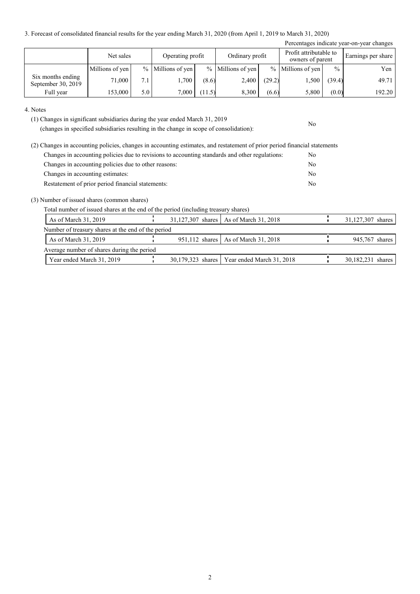3. Forecast of consolidated financial results for the year ending March 31, 2020 (from April 1, 2019 to March 31, 2020)

|                                         |                 |     |                     |        |                     |        |                                            |               | Percentages indicate year-on-year changes |
|-----------------------------------------|-----------------|-----|---------------------|--------|---------------------|--------|--------------------------------------------|---------------|-------------------------------------------|
|                                         | Net sales       |     | Operating profit    |        | Ordinary profit     |        | Profit attributable to<br>owners of parent |               | Earnings per share                        |
|                                         | Millions of yen |     | $%$ Millions of yen |        | $%$ Millions of yen |        | % Millions of yen                          | $\frac{0}{0}$ | Yen                                       |
| Six months ending<br>September 30, 2019 | 71,000          | 7.1 | 1,700               | (8.6)  | 2.400               | (29.2) | 1,500                                      | (39.4)        | 49.71                                     |
| Full year                               | 153,000         | 5.0 | 7,000               | (11.5) | 8,300               | (6.6)  | 5,800                                      | (0.0)         | 192.20                                    |

No

#### 4. Notes

(1) Changes in significant subsidiaries during the year ended March 31, 2019

(changes in specified subsidiaries resulting in the change in scope of consolidation):

| (2) Changes in accounting policies, changes in accounting estimates, and restatement of prior period financial statements |     |
|---------------------------------------------------------------------------------------------------------------------------|-----|
| Changes in accounting policies due to revisions to accounting standards and other regulations:                            | No. |
| Changes in accounting policies due to other reasons:                                                                      | No  |
| Changes in accounting estimates:                                                                                          | No  |
| Restatement of prior period financial statements:                                                                         | No  |

(3) Number of issued shares (common shares)

Total number of issued shares at the end of the period (including treasury shares)

| As of March $31, 2019$                             |  | 31,127,307 shares   As of March 31, 2018      | 31,127,307 shares |
|----------------------------------------------------|--|-----------------------------------------------|-------------------|
| Number of treasury shares at the end of the period |  |                                               |                   |
| As of March $31, 2019$                             |  | 951,112 shares   As of March 31, 2018         | 945,767 shares    |
| Average number of shares during the period         |  |                                               |                   |
| Year ended March 31, 2019                          |  | 30,179,323 shares   Year ended March 31, 2018 | 30,182,231 shares |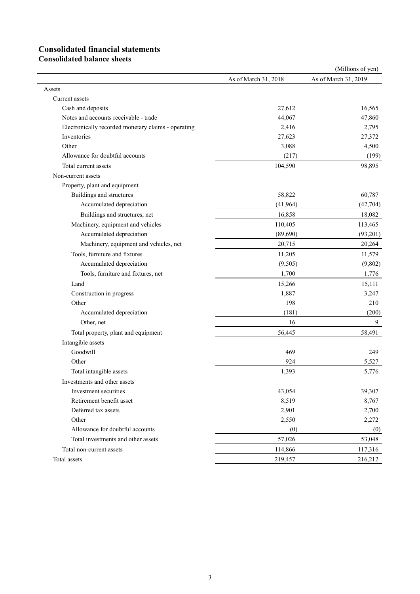# **Consolidated financial statements**

**Consolidated balance sheets**

|                                                     |                      | (Millions of yen)    |
|-----------------------------------------------------|----------------------|----------------------|
|                                                     | As of March 31, 2018 | As of March 31, 2019 |
| Assets                                              |                      |                      |
| Current assets                                      |                      |                      |
| Cash and deposits                                   | 27,612               | 16,565               |
| Notes and accounts receivable - trade               | 44,067               | 47,860               |
| Electronically recorded monetary claims - operating | 2,416                | 2,795                |
| Inventories                                         | 27,623               | 27,372               |
| Other                                               | 3,088                | 4,500                |
| Allowance for doubtful accounts                     | (217)                | (199)                |
| Total current assets                                | 104,590              | 98,895               |
| Non-current assets                                  |                      |                      |
| Property, plant and equipment                       |                      |                      |
| Buildings and structures                            | 58,822               | 60,787               |
| Accumulated depreciation                            | (41,964)             | (42, 704)            |
| Buildings and structures, net                       | 16,858               | 18,082               |
| Machinery, equipment and vehicles                   | 110,405              | 113,465              |
| Accumulated depreciation                            | (89,690)             | (93,201)             |
| Machinery, equipment and vehicles, net              | 20,715               | 20,264               |
| Tools, furniture and fixtures                       | 11,205               | 11,579               |
| Accumulated depreciation                            | (9,505)              | (9,802)              |
| Tools, furniture and fixtures, net                  | 1,700                | 1,776                |
| Land                                                | 15,266               | 15,111               |
| Construction in progress                            | 1,887                | 3,247                |
| Other                                               | 198                  | 210                  |
| Accumulated depreciation                            | (181)                | (200)                |
| Other, net                                          | 16                   | $\boldsymbol{9}$     |
| Total property, plant and equipment                 | 56,445               | 58,491               |
| Intangible assets                                   |                      |                      |
| Goodwill                                            | 469                  | 249                  |
| Other                                               | 924                  | 5,527                |
| Total intangible assets                             | 1,393                | 5,776                |
| Investments and other assets                        |                      |                      |
| Investment securities                               | 43,054               | 39,307               |
| Retirement benefit asset                            | 8,519                | 8,767                |
| Deferred tax assets                                 | 2,901                | 2,700                |
| Other                                               | 2,550                | 2,272                |
| Allowance for doubtful accounts                     | (0)                  | (0)                  |
| Total investments and other assets                  | 57,026               | 53,048               |
| Total non-current assets                            | 114,866              | 117,316              |
| Total assets                                        | 219,457              | 216,212              |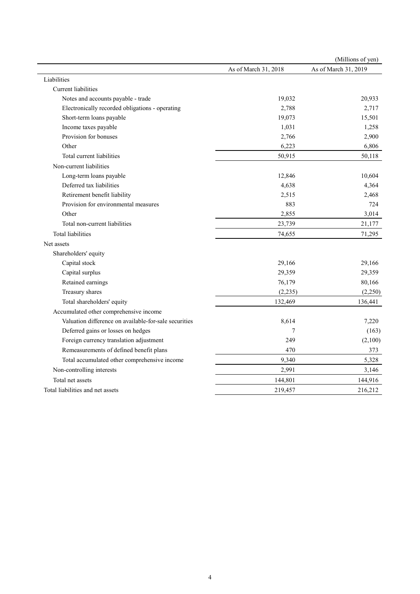|                                                       |                      | (Millions of yen)    |
|-------------------------------------------------------|----------------------|----------------------|
|                                                       | As of March 31, 2018 | As of March 31, 2019 |
| Liabilities                                           |                      |                      |
| <b>Current</b> liabilities                            |                      |                      |
| Notes and accounts payable - trade                    | 19,032               | 20,933               |
| Electronically recorded obligations - operating       | 2,788                | 2,717                |
| Short-term loans payable                              | 19,073               | 15,501               |
| Income taxes payable                                  | 1,031                | 1,258                |
| Provision for bonuses                                 | 2,766                | 2,900                |
| Other                                                 | 6,223                | 6,806                |
| Total current liabilities                             | 50,915               | 50,118               |
| Non-current liabilities                               |                      |                      |
| Long-term loans payable                               | 12,846               | 10,604               |
| Deferred tax liabilities                              | 4,638                | 4,364                |
| Retirement benefit liability                          | 2,515                | 2,468                |
| Provision for environmental measures                  | 883                  | 724                  |
| Other                                                 | 2,855                | 3,014                |
| Total non-current liabilities                         | 23,739               | 21,177               |
| <b>Total liabilities</b>                              | 74,655               | 71,295               |
| Net assets                                            |                      |                      |
| Shareholders' equity                                  |                      |                      |
| Capital stock                                         | 29,166               | 29,166               |
| Capital surplus                                       | 29,359               | 29,359               |
| Retained earnings                                     | 76,179               | 80,166               |
| Treasury shares                                       | (2,235)              | (2,250)              |
| Total shareholders' equity                            | 132,469              | 136,441              |
| Accumulated other comprehensive income                |                      |                      |
| Valuation difference on available-for-sale securities | 8,614                | 7,220                |
| Deferred gains or losses on hedges                    | 7                    | (163)                |
| Foreign currency translation adjustment               | 249                  | (2,100)              |
| Remeasurements of defined benefit plans               | 470                  | 373                  |
| Total accumulated other comprehensive income          | 9,340                | 5,328                |
| Non-controlling interests                             | 2,991                | 3,146                |
| Total net assets                                      | 144,801              | 144,916              |
| Total liabilities and net assets                      | 219,457              | 216,212              |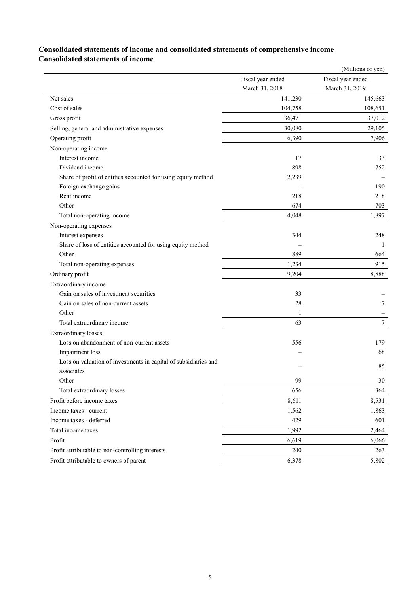### **Consolidated statements of income and consolidated statements of comprehensive income Consolidated statements of income**

|                                                                 |                   | (Millions of yen) |
|-----------------------------------------------------------------|-------------------|-------------------|
|                                                                 | Fiscal year ended | Fiscal year ended |
|                                                                 | March 31, 2018    | March 31, 2019    |
| Net sales                                                       | 141,230           | 145,663           |
| Cost of sales                                                   | 104,758           | 108,651           |
| Gross profit                                                    | 36,471            | 37,012            |
| Selling, general and administrative expenses                    | 30,080            | 29,105            |
| Operating profit                                                | 6,390             | 7,906             |
| Non-operating income                                            |                   |                   |
| Interest income                                                 | 17                | 33                |
| Dividend income                                                 | 898               | 752               |
| Share of profit of entities accounted for using equity method   | 2,239             |                   |
| Foreign exchange gains                                          |                   | 190               |
| Rent income                                                     | 218               | 218               |
| Other                                                           | 674               | 703               |
| Total non-operating income                                      | 4,048             | 1,897             |
| Non-operating expenses                                          |                   |                   |
| Interest expenses                                               | 344               | 248               |
| Share of loss of entities accounted for using equity method     |                   | 1                 |
| Other                                                           | 889               | 664               |
| Total non-operating expenses                                    | 1,234             | 915               |
| Ordinary profit                                                 | 9,204             | 8,888             |
| Extraordinary income                                            |                   |                   |
| Gain on sales of investment securities                          | 33                |                   |
| Gain on sales of non-current assets                             | 28                | $\tau$            |
| Other                                                           | $\mathbf{1}$      |                   |
| Total extraordinary income                                      | 63                | $\tau$            |
| <b>Extraordinary losses</b>                                     |                   |                   |
| Loss on abandonment of non-current assets                       | 556               | 179               |
| Impairment loss                                                 |                   | 68                |
| Loss on valuation of investments in capital of subsidiaries and |                   | 85                |
| associates                                                      |                   |                   |
| Other                                                           | 99                | 30                |
| Total extraordinary losses                                      | 656               | 364               |
| Profit before income taxes                                      | 8,611             | 8,531             |
| Income taxes - current                                          | 1,562             | 1,863             |
| Income taxes - deferred                                         | 429               | 601               |
| Total income taxes                                              | 1,992             | 2,464             |
| Profit                                                          | 6,619             | 6,066             |
| Profit attributable to non-controlling interests                | 240               | 263               |
| Profit attributable to owners of parent                         | 6,378             | 5,802             |
|                                                                 |                   |                   |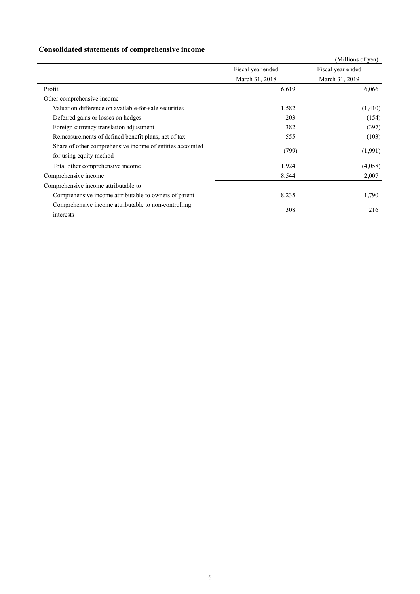## **Consolidated statements of comprehensive income**

|                                                           |                   | (Millions of yen) |
|-----------------------------------------------------------|-------------------|-------------------|
|                                                           | Fiscal year ended | Fiscal year ended |
|                                                           | March 31, 2018    | March 31, 2019    |
| Profit                                                    | 6,619             | 6,066             |
| Other comprehensive income                                |                   |                   |
| Valuation difference on available-for-sale securities     | 1,582             | (1,410)           |
| Deferred gains or losses on hedges                        | 203               | (154)             |
| Foreign currency translation adjustment                   | 382               | (397)             |
| Remeasurements of defined benefit plans, net of tax       | 555               | (103)             |
| Share of other comprehensive income of entities accounted | (799)             | (1,991)           |
| for using equity method                                   |                   |                   |
| Total other comprehensive income                          | 1,924             | (4,058)           |
| Comprehensive income                                      | 8,544             | 2,007             |
| Comprehensive income attributable to                      |                   |                   |
| Comprehensive income attributable to owners of parent     | 8,235             | 1,790             |
| Comprehensive income attributable to non-controlling      | 308               | 216               |
| interests                                                 |                   |                   |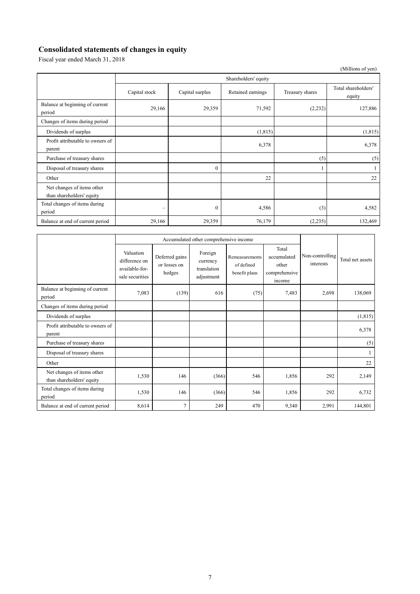## **Consolidated statements of changes in equity**

Fiscal year ended March 31, 2018

|                                                         |                        |                 |                   |                 | (Millions of yen)             |  |  |
|---------------------------------------------------------|------------------------|-----------------|-------------------|-----------------|-------------------------------|--|--|
|                                                         | Shareholders' equity   |                 |                   |                 |                               |  |  |
|                                                         | Capital stock          | Capital surplus | Retained earnings | Treasury shares | Total shareholders'<br>equity |  |  |
| Balance at beginning of current<br>period               | 29,166                 | 29,359          | 71,592            | (2, 232)        | 127,886                       |  |  |
| Changes of items during period                          |                        |                 |                   |                 |                               |  |  |
| Dividends of surplus                                    |                        |                 | (1,815)           |                 | (1,815)                       |  |  |
| Profit attributable to owners of<br>parent              |                        |                 | 6,378             |                 | 6,378                         |  |  |
| Purchase of treasury shares                             |                        |                 |                   | (5)             | (5)                           |  |  |
| Disposal of treasury shares                             |                        | $\Omega$        |                   |                 |                               |  |  |
| Other                                                   |                        |                 | 22                |                 | 22                            |  |  |
| Net changes of items other<br>than shareholders' equity |                        |                 |                   |                 |                               |  |  |
| Total changes of items during<br>period                 | $\qquad \qquad \qquad$ | $\theta$        | 4,586             | (3)             | 4,582                         |  |  |
| Balance at end of current period                        | 29,166                 | 29,359          | 76,179            | (2,235)         | 132,469                       |  |  |

|                                                         | Accumulated other comprehensive income                          |                                          |                                                  |                                               |                                                          |                              |                  |
|---------------------------------------------------------|-----------------------------------------------------------------|------------------------------------------|--------------------------------------------------|-----------------------------------------------|----------------------------------------------------------|------------------------------|------------------|
|                                                         | Valuation<br>difference on<br>available-for-<br>sale securities | Deferred gains<br>or losses on<br>hedges | Foreign<br>currency<br>translation<br>adjustment | Remeasurements<br>of defined<br>benefit plans | Total<br>accumulated<br>other<br>comprehensive<br>income | Non-controlling<br>interests | Total net assets |
| Balance at beginning of current<br>period               | 7,083                                                           | (139)                                    | 616                                              | (75)                                          | 7,483                                                    | 2,698                        | 138,069          |
| Changes of items during period                          |                                                                 |                                          |                                                  |                                               |                                                          |                              |                  |
| Dividends of surplus                                    |                                                                 |                                          |                                                  |                                               |                                                          |                              | (1, 815)         |
| Profit attributable to owners of<br>parent              |                                                                 |                                          |                                                  |                                               |                                                          |                              | 6,378            |
| Purchase of treasury shares                             |                                                                 |                                          |                                                  |                                               |                                                          |                              | (5)              |
| Disposal of treasury shares                             |                                                                 |                                          |                                                  |                                               |                                                          |                              |                  |
| Other                                                   |                                                                 |                                          |                                                  |                                               |                                                          |                              | 22               |
| Net changes of items other<br>than shareholders' equity | 1,530                                                           | 146                                      | (366)                                            | 546                                           | 1,856                                                    | 292                          | 2,149            |
| Total changes of items during<br>period                 | 1,530                                                           | 146                                      | (366)                                            | 546                                           | 1,856                                                    | 292                          | 6,732            |
| Balance at end of current period                        | 8,614                                                           | 7                                        | 249                                              | 470                                           | 9,340                                                    | 2,991                        | 144,801          |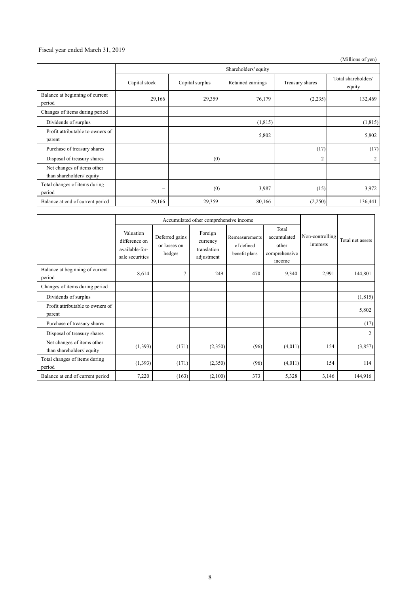#### Fiscal year ended March 31, 2019

(Millions of yen)

|                                                         | Shareholders' equity    |                 |                   |                 |                               |
|---------------------------------------------------------|-------------------------|-----------------|-------------------|-----------------|-------------------------------|
|                                                         | Capital stock           | Capital surplus | Retained earnings | Treasury shares | Total shareholders'<br>equity |
| Balance at beginning of current<br>period               | 29,166                  | 29,359          | 76,179            | (2,235)         | 132,469                       |
| Changes of items during period                          |                         |                 |                   |                 |                               |
| Dividends of surplus                                    |                         |                 | (1,815)           |                 | (1, 815)                      |
| Profit attributable to owners of<br>parent              |                         |                 | 5,802             |                 | 5,802                         |
| Purchase of treasury shares                             |                         |                 |                   | (17)            | (17)                          |
| Disposal of treasury shares                             |                         | (0)             |                   | $\overline{c}$  | 2                             |
| Net changes of items other<br>than shareholders' equity |                         |                 |                   |                 |                               |
| Total changes of items during<br>period                 | $\qquad \qquad \  \, -$ | (0)             | 3,987             | (15)            | 3,972                         |
| Balance at end of current period                        | 29,166                  | 29,359          | 80,166            | (2,250)         | 136,441                       |

|                                                         | Accumulated other comprehensive income                          |                                          |                                                  |                                               |                                                          |                              |                  |
|---------------------------------------------------------|-----------------------------------------------------------------|------------------------------------------|--------------------------------------------------|-----------------------------------------------|----------------------------------------------------------|------------------------------|------------------|
|                                                         | Valuation<br>difference on<br>available-for-<br>sale securities | Deferred gains<br>or losses on<br>hedges | Foreign<br>currency<br>translation<br>adjustment | Remeasurements<br>of defined<br>benefit plans | Total<br>accumulated<br>other<br>comprehensive<br>income | Non-controlling<br>interests | Total net assets |
| Balance at beginning of current<br>period               | 8,614                                                           | 7                                        | 249                                              | 470                                           | 9,340                                                    | 2,991                        | 144,801          |
| Changes of items during period                          |                                                                 |                                          |                                                  |                                               |                                                          |                              |                  |
| Dividends of surplus                                    |                                                                 |                                          |                                                  |                                               |                                                          |                              | (1, 815)         |
| Profit attributable to owners of<br>parent              |                                                                 |                                          |                                                  |                                               |                                                          |                              | 5,802            |
| Purchase of treasury shares                             |                                                                 |                                          |                                                  |                                               |                                                          |                              | (17)             |
| Disposal of treasury shares                             |                                                                 |                                          |                                                  |                                               |                                                          |                              | $\overline{c}$   |
| Net changes of items other<br>than shareholders' equity | (1,393)                                                         | (171)                                    | (2,350)                                          | (96)                                          | (4,011)                                                  | 154                          | (3,857)          |
| Total changes of items during<br>period                 | (1,393)                                                         | (171)                                    | (2,350)                                          | (96)                                          | (4,011)                                                  | 154                          | 114              |
| Balance at end of current period                        | 7,220                                                           | (163)                                    | (2,100)                                          | 373                                           | 5,328                                                    | 3,146                        | 144,916          |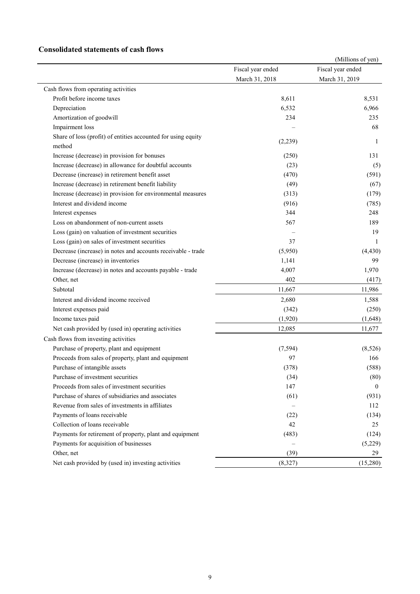### **Consolidated statements of cash flows**

| Fiscal year ended<br>Fiscal year ended<br>March 31, 2018<br>March 31, 2019<br>Cash flows from operating activities<br>Profit before income taxes<br>8,611<br>8,531<br>6,532<br>6,966<br>Depreciation<br>Amortization of goodwill<br>234<br>235<br>Impairment loss<br>68<br>Share of loss (profit) of entities accounted for using equity<br>(2,239)<br>1<br>method<br>Increase (decrease) in provision for bonuses<br>131<br>(250)<br>Increase (decrease) in allowance for doubtful accounts<br>(23)<br>Decrease (increase) in retirement benefit asset<br>(470)<br>Increase (decrease) in retirement benefit liability<br>(49)<br>Increase (decrease) in provision for environmental measures<br>(179)<br>(313)<br>Interest and dividend income<br>(916)<br>344<br>Interest expenses<br>248<br>Loss on abandonment of non-current assets<br>567<br>189<br>Loss (gain) on valuation of investment securities<br>19<br>37<br>Loss (gain) on sales of investment securities<br>1<br>Decrease (increase) in notes and accounts receivable - trade<br>(5,950)<br>(4, 430)<br>Decrease (increase) in inventories<br>1,141<br>99<br>1,970<br>Increase (decrease) in notes and accounts payable - trade<br>4,007<br>Other, net<br>402<br>(417)<br>Subtotal<br>11,667<br>11,986<br>Interest and dividend income received<br>2,680<br>1,588<br>Interest expenses paid<br>(342)<br>Income taxes paid<br>(1,920)<br>(1,648)<br>Net cash provided by (used in) operating activities<br>12,085<br>11,677<br>Cash flows from investing activities<br>Purchase of property, plant and equipment<br>(7, 594)<br>Proceeds from sales of property, plant and equipment<br>97<br>166<br>Purchase of intangible assets<br>(378)<br>Purchase of investment securities<br>(34)<br>Proceeds from sales of investment securities<br>147<br>$\theta$<br>Purchase of shares of subsidiaries and associates<br>(61)<br>Revenue from sales of investments in affiliates<br>112<br>Payments of loans receivable<br>(22)<br>Collection of loans receivable<br>42<br>25<br>Payments for retirement of property, plant and equipment<br>(483)<br>Payments for acquisition of businesses<br>Other, net<br>(39)<br>29<br>Net cash provided by (used in) investing activities<br>(8,327) |  | (Millions of yen) |
|-------------------------------------------------------------------------------------------------------------------------------------------------------------------------------------------------------------------------------------------------------------------------------------------------------------------------------------------------------------------------------------------------------------------------------------------------------------------------------------------------------------------------------------------------------------------------------------------------------------------------------------------------------------------------------------------------------------------------------------------------------------------------------------------------------------------------------------------------------------------------------------------------------------------------------------------------------------------------------------------------------------------------------------------------------------------------------------------------------------------------------------------------------------------------------------------------------------------------------------------------------------------------------------------------------------------------------------------------------------------------------------------------------------------------------------------------------------------------------------------------------------------------------------------------------------------------------------------------------------------------------------------------------------------------------------------------------------------------------------------------------------------------------------------------------------------------------------------------------------------------------------------------------------------------------------------------------------------------------------------------------------------------------------------------------------------------------------------------------------------------------------------------------------------------------------------------------------------------------------------------------|--|-------------------|
|                                                                                                                                                                                                                                                                                                                                                                                                                                                                                                                                                                                                                                                                                                                                                                                                                                                                                                                                                                                                                                                                                                                                                                                                                                                                                                                                                                                                                                                                                                                                                                                                                                                                                                                                                                                                                                                                                                                                                                                                                                                                                                                                                                                                                                                       |  |                   |
|                                                                                                                                                                                                                                                                                                                                                                                                                                                                                                                                                                                                                                                                                                                                                                                                                                                                                                                                                                                                                                                                                                                                                                                                                                                                                                                                                                                                                                                                                                                                                                                                                                                                                                                                                                                                                                                                                                                                                                                                                                                                                                                                                                                                                                                       |  |                   |
|                                                                                                                                                                                                                                                                                                                                                                                                                                                                                                                                                                                                                                                                                                                                                                                                                                                                                                                                                                                                                                                                                                                                                                                                                                                                                                                                                                                                                                                                                                                                                                                                                                                                                                                                                                                                                                                                                                                                                                                                                                                                                                                                                                                                                                                       |  |                   |
|                                                                                                                                                                                                                                                                                                                                                                                                                                                                                                                                                                                                                                                                                                                                                                                                                                                                                                                                                                                                                                                                                                                                                                                                                                                                                                                                                                                                                                                                                                                                                                                                                                                                                                                                                                                                                                                                                                                                                                                                                                                                                                                                                                                                                                                       |  |                   |
|                                                                                                                                                                                                                                                                                                                                                                                                                                                                                                                                                                                                                                                                                                                                                                                                                                                                                                                                                                                                                                                                                                                                                                                                                                                                                                                                                                                                                                                                                                                                                                                                                                                                                                                                                                                                                                                                                                                                                                                                                                                                                                                                                                                                                                                       |  |                   |
|                                                                                                                                                                                                                                                                                                                                                                                                                                                                                                                                                                                                                                                                                                                                                                                                                                                                                                                                                                                                                                                                                                                                                                                                                                                                                                                                                                                                                                                                                                                                                                                                                                                                                                                                                                                                                                                                                                                                                                                                                                                                                                                                                                                                                                                       |  |                   |
|                                                                                                                                                                                                                                                                                                                                                                                                                                                                                                                                                                                                                                                                                                                                                                                                                                                                                                                                                                                                                                                                                                                                                                                                                                                                                                                                                                                                                                                                                                                                                                                                                                                                                                                                                                                                                                                                                                                                                                                                                                                                                                                                                                                                                                                       |  |                   |
|                                                                                                                                                                                                                                                                                                                                                                                                                                                                                                                                                                                                                                                                                                                                                                                                                                                                                                                                                                                                                                                                                                                                                                                                                                                                                                                                                                                                                                                                                                                                                                                                                                                                                                                                                                                                                                                                                                                                                                                                                                                                                                                                                                                                                                                       |  |                   |
|                                                                                                                                                                                                                                                                                                                                                                                                                                                                                                                                                                                                                                                                                                                                                                                                                                                                                                                                                                                                                                                                                                                                                                                                                                                                                                                                                                                                                                                                                                                                                                                                                                                                                                                                                                                                                                                                                                                                                                                                                                                                                                                                                                                                                                                       |  |                   |
|                                                                                                                                                                                                                                                                                                                                                                                                                                                                                                                                                                                                                                                                                                                                                                                                                                                                                                                                                                                                                                                                                                                                                                                                                                                                                                                                                                                                                                                                                                                                                                                                                                                                                                                                                                                                                                                                                                                                                                                                                                                                                                                                                                                                                                                       |  |                   |
|                                                                                                                                                                                                                                                                                                                                                                                                                                                                                                                                                                                                                                                                                                                                                                                                                                                                                                                                                                                                                                                                                                                                                                                                                                                                                                                                                                                                                                                                                                                                                                                                                                                                                                                                                                                                                                                                                                                                                                                                                                                                                                                                                                                                                                                       |  | (5)               |
|                                                                                                                                                                                                                                                                                                                                                                                                                                                                                                                                                                                                                                                                                                                                                                                                                                                                                                                                                                                                                                                                                                                                                                                                                                                                                                                                                                                                                                                                                                                                                                                                                                                                                                                                                                                                                                                                                                                                                                                                                                                                                                                                                                                                                                                       |  | (591)             |
|                                                                                                                                                                                                                                                                                                                                                                                                                                                                                                                                                                                                                                                                                                                                                                                                                                                                                                                                                                                                                                                                                                                                                                                                                                                                                                                                                                                                                                                                                                                                                                                                                                                                                                                                                                                                                                                                                                                                                                                                                                                                                                                                                                                                                                                       |  | (67)              |
|                                                                                                                                                                                                                                                                                                                                                                                                                                                                                                                                                                                                                                                                                                                                                                                                                                                                                                                                                                                                                                                                                                                                                                                                                                                                                                                                                                                                                                                                                                                                                                                                                                                                                                                                                                                                                                                                                                                                                                                                                                                                                                                                                                                                                                                       |  |                   |
|                                                                                                                                                                                                                                                                                                                                                                                                                                                                                                                                                                                                                                                                                                                                                                                                                                                                                                                                                                                                                                                                                                                                                                                                                                                                                                                                                                                                                                                                                                                                                                                                                                                                                                                                                                                                                                                                                                                                                                                                                                                                                                                                                                                                                                                       |  | (785)             |
|                                                                                                                                                                                                                                                                                                                                                                                                                                                                                                                                                                                                                                                                                                                                                                                                                                                                                                                                                                                                                                                                                                                                                                                                                                                                                                                                                                                                                                                                                                                                                                                                                                                                                                                                                                                                                                                                                                                                                                                                                                                                                                                                                                                                                                                       |  |                   |
|                                                                                                                                                                                                                                                                                                                                                                                                                                                                                                                                                                                                                                                                                                                                                                                                                                                                                                                                                                                                                                                                                                                                                                                                                                                                                                                                                                                                                                                                                                                                                                                                                                                                                                                                                                                                                                                                                                                                                                                                                                                                                                                                                                                                                                                       |  |                   |
|                                                                                                                                                                                                                                                                                                                                                                                                                                                                                                                                                                                                                                                                                                                                                                                                                                                                                                                                                                                                                                                                                                                                                                                                                                                                                                                                                                                                                                                                                                                                                                                                                                                                                                                                                                                                                                                                                                                                                                                                                                                                                                                                                                                                                                                       |  |                   |
|                                                                                                                                                                                                                                                                                                                                                                                                                                                                                                                                                                                                                                                                                                                                                                                                                                                                                                                                                                                                                                                                                                                                                                                                                                                                                                                                                                                                                                                                                                                                                                                                                                                                                                                                                                                                                                                                                                                                                                                                                                                                                                                                                                                                                                                       |  |                   |
|                                                                                                                                                                                                                                                                                                                                                                                                                                                                                                                                                                                                                                                                                                                                                                                                                                                                                                                                                                                                                                                                                                                                                                                                                                                                                                                                                                                                                                                                                                                                                                                                                                                                                                                                                                                                                                                                                                                                                                                                                                                                                                                                                                                                                                                       |  |                   |
|                                                                                                                                                                                                                                                                                                                                                                                                                                                                                                                                                                                                                                                                                                                                                                                                                                                                                                                                                                                                                                                                                                                                                                                                                                                                                                                                                                                                                                                                                                                                                                                                                                                                                                                                                                                                                                                                                                                                                                                                                                                                                                                                                                                                                                                       |  |                   |
|                                                                                                                                                                                                                                                                                                                                                                                                                                                                                                                                                                                                                                                                                                                                                                                                                                                                                                                                                                                                                                                                                                                                                                                                                                                                                                                                                                                                                                                                                                                                                                                                                                                                                                                                                                                                                                                                                                                                                                                                                                                                                                                                                                                                                                                       |  |                   |
|                                                                                                                                                                                                                                                                                                                                                                                                                                                                                                                                                                                                                                                                                                                                                                                                                                                                                                                                                                                                                                                                                                                                                                                                                                                                                                                                                                                                                                                                                                                                                                                                                                                                                                                                                                                                                                                                                                                                                                                                                                                                                                                                                                                                                                                       |  |                   |
|                                                                                                                                                                                                                                                                                                                                                                                                                                                                                                                                                                                                                                                                                                                                                                                                                                                                                                                                                                                                                                                                                                                                                                                                                                                                                                                                                                                                                                                                                                                                                                                                                                                                                                                                                                                                                                                                                                                                                                                                                                                                                                                                                                                                                                                       |  |                   |
|                                                                                                                                                                                                                                                                                                                                                                                                                                                                                                                                                                                                                                                                                                                                                                                                                                                                                                                                                                                                                                                                                                                                                                                                                                                                                                                                                                                                                                                                                                                                                                                                                                                                                                                                                                                                                                                                                                                                                                                                                                                                                                                                                                                                                                                       |  |                   |
|                                                                                                                                                                                                                                                                                                                                                                                                                                                                                                                                                                                                                                                                                                                                                                                                                                                                                                                                                                                                                                                                                                                                                                                                                                                                                                                                                                                                                                                                                                                                                                                                                                                                                                                                                                                                                                                                                                                                                                                                                                                                                                                                                                                                                                                       |  | (250)             |
|                                                                                                                                                                                                                                                                                                                                                                                                                                                                                                                                                                                                                                                                                                                                                                                                                                                                                                                                                                                                                                                                                                                                                                                                                                                                                                                                                                                                                                                                                                                                                                                                                                                                                                                                                                                                                                                                                                                                                                                                                                                                                                                                                                                                                                                       |  |                   |
|                                                                                                                                                                                                                                                                                                                                                                                                                                                                                                                                                                                                                                                                                                                                                                                                                                                                                                                                                                                                                                                                                                                                                                                                                                                                                                                                                                                                                                                                                                                                                                                                                                                                                                                                                                                                                                                                                                                                                                                                                                                                                                                                                                                                                                                       |  |                   |
|                                                                                                                                                                                                                                                                                                                                                                                                                                                                                                                                                                                                                                                                                                                                                                                                                                                                                                                                                                                                                                                                                                                                                                                                                                                                                                                                                                                                                                                                                                                                                                                                                                                                                                                                                                                                                                                                                                                                                                                                                                                                                                                                                                                                                                                       |  |                   |
|                                                                                                                                                                                                                                                                                                                                                                                                                                                                                                                                                                                                                                                                                                                                                                                                                                                                                                                                                                                                                                                                                                                                                                                                                                                                                                                                                                                                                                                                                                                                                                                                                                                                                                                                                                                                                                                                                                                                                                                                                                                                                                                                                                                                                                                       |  | (8,526)           |
|                                                                                                                                                                                                                                                                                                                                                                                                                                                                                                                                                                                                                                                                                                                                                                                                                                                                                                                                                                                                                                                                                                                                                                                                                                                                                                                                                                                                                                                                                                                                                                                                                                                                                                                                                                                                                                                                                                                                                                                                                                                                                                                                                                                                                                                       |  |                   |
|                                                                                                                                                                                                                                                                                                                                                                                                                                                                                                                                                                                                                                                                                                                                                                                                                                                                                                                                                                                                                                                                                                                                                                                                                                                                                                                                                                                                                                                                                                                                                                                                                                                                                                                                                                                                                                                                                                                                                                                                                                                                                                                                                                                                                                                       |  | (588)             |
|                                                                                                                                                                                                                                                                                                                                                                                                                                                                                                                                                                                                                                                                                                                                                                                                                                                                                                                                                                                                                                                                                                                                                                                                                                                                                                                                                                                                                                                                                                                                                                                                                                                                                                                                                                                                                                                                                                                                                                                                                                                                                                                                                                                                                                                       |  | (80)              |
|                                                                                                                                                                                                                                                                                                                                                                                                                                                                                                                                                                                                                                                                                                                                                                                                                                                                                                                                                                                                                                                                                                                                                                                                                                                                                                                                                                                                                                                                                                                                                                                                                                                                                                                                                                                                                                                                                                                                                                                                                                                                                                                                                                                                                                                       |  |                   |
|                                                                                                                                                                                                                                                                                                                                                                                                                                                                                                                                                                                                                                                                                                                                                                                                                                                                                                                                                                                                                                                                                                                                                                                                                                                                                                                                                                                                                                                                                                                                                                                                                                                                                                                                                                                                                                                                                                                                                                                                                                                                                                                                                                                                                                                       |  | (931)             |
|                                                                                                                                                                                                                                                                                                                                                                                                                                                                                                                                                                                                                                                                                                                                                                                                                                                                                                                                                                                                                                                                                                                                                                                                                                                                                                                                                                                                                                                                                                                                                                                                                                                                                                                                                                                                                                                                                                                                                                                                                                                                                                                                                                                                                                                       |  |                   |
|                                                                                                                                                                                                                                                                                                                                                                                                                                                                                                                                                                                                                                                                                                                                                                                                                                                                                                                                                                                                                                                                                                                                                                                                                                                                                                                                                                                                                                                                                                                                                                                                                                                                                                                                                                                                                                                                                                                                                                                                                                                                                                                                                                                                                                                       |  | (134)             |
|                                                                                                                                                                                                                                                                                                                                                                                                                                                                                                                                                                                                                                                                                                                                                                                                                                                                                                                                                                                                                                                                                                                                                                                                                                                                                                                                                                                                                                                                                                                                                                                                                                                                                                                                                                                                                                                                                                                                                                                                                                                                                                                                                                                                                                                       |  |                   |
|                                                                                                                                                                                                                                                                                                                                                                                                                                                                                                                                                                                                                                                                                                                                                                                                                                                                                                                                                                                                                                                                                                                                                                                                                                                                                                                                                                                                                                                                                                                                                                                                                                                                                                                                                                                                                                                                                                                                                                                                                                                                                                                                                                                                                                                       |  | (124)             |
|                                                                                                                                                                                                                                                                                                                                                                                                                                                                                                                                                                                                                                                                                                                                                                                                                                                                                                                                                                                                                                                                                                                                                                                                                                                                                                                                                                                                                                                                                                                                                                                                                                                                                                                                                                                                                                                                                                                                                                                                                                                                                                                                                                                                                                                       |  | (5,229)           |
|                                                                                                                                                                                                                                                                                                                                                                                                                                                                                                                                                                                                                                                                                                                                                                                                                                                                                                                                                                                                                                                                                                                                                                                                                                                                                                                                                                                                                                                                                                                                                                                                                                                                                                                                                                                                                                                                                                                                                                                                                                                                                                                                                                                                                                                       |  |                   |
|                                                                                                                                                                                                                                                                                                                                                                                                                                                                                                                                                                                                                                                                                                                                                                                                                                                                                                                                                                                                                                                                                                                                                                                                                                                                                                                                                                                                                                                                                                                                                                                                                                                                                                                                                                                                                                                                                                                                                                                                                                                                                                                                                                                                                                                       |  | (15,280)          |